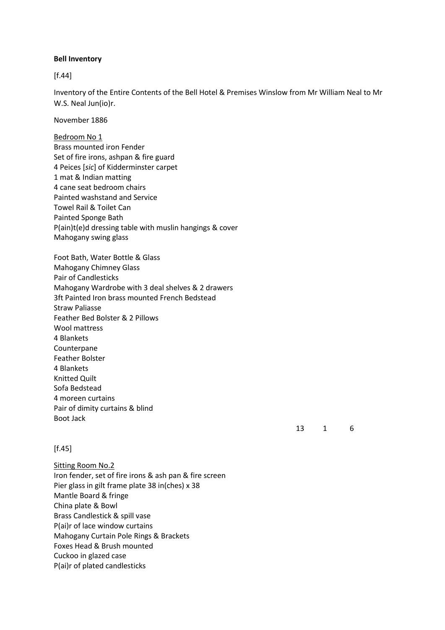#### **Bell Inventory**

[f.44]

Inventory of the Entire Contents of the Bell Hotel & Premises Winslow from Mr William Neal to Mr W.S. Neal Jun(io)r.

November 1886

Bedroom No 1 Brass mounted iron Fender Set of fire irons, ashpan & fire guard 4 Peices [*sic*] of Kidderminster carpet 1 mat & Indian matting 4 cane seat bedroom chairs Painted washstand and Service Towel Rail & Toilet Can Painted Sponge Bath P(ain)t(e)d dressing table with muslin hangings & cover Mahogany swing glass

Foot Bath, Water Bottle & Glass Mahogany Chimney Glass Pair of Candlesticks Mahogany Wardrobe with 3 deal shelves & 2 drawers 3ft Painted Iron brass mounted French Bedstead Straw Paliasse Feather Bed Bolster & 2 Pillows Wool mattress 4 Blankets Counterpane Feather Bolster 4 Blankets Knitted Quilt Sofa Bedstead 4 moreen curtains Pair of dimity curtains & blind Boot Jack

### 13 1 6

### $[f.45]$

Sitting Room No.2 Iron fender, set of fire irons & ash pan & fire screen Pier glass in gilt frame plate 38 in(ches) x 38 Mantle Board & fringe China plate & Bowl Brass Candlestick & spill vase P(ai)r of lace window curtains Mahogany Curtain Pole Rings & Brackets Foxes Head & Brush mounted Cuckoo in glazed case P(ai)r of plated candlesticks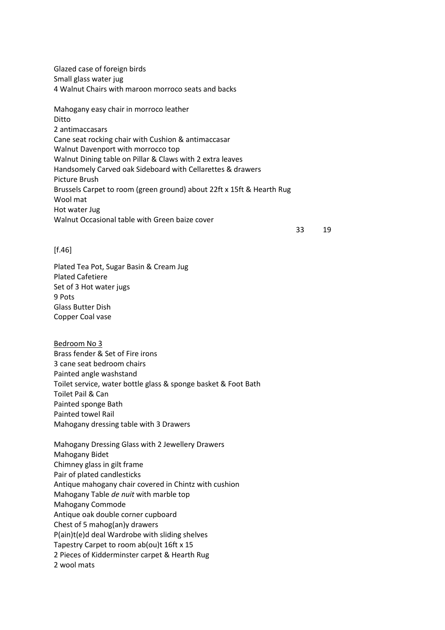Glazed case of foreign birds Small glass water jug 4 Walnut Chairs with maroon morroco seats and backs

Mahogany easy chair in morroco leather Ditto 2 antimaccasars Cane seat rocking chair with Cushion & antimaccasar Walnut Davenport with morrocco top Walnut Dining table on Pillar & Claws with 2 extra leaves Handsomely Carved oak Sideboard with Cellarettes & drawers Picture Brush Brussels Carpet to room (green ground) about 22ft x 15ft & Hearth Rug Wool mat Hot water Jug Walnut Occasional table with Green baize cover

33 19

#### [f.46]

Plated Tea Pot, Sugar Basin & Cream Jug Plated Cafetiere Set of 3 Hot water jugs 9 Pots Glass Butter Dish Copper Coal vase

Bedroom No 3 Brass fender & Set of Fire irons 3 cane seat bedroom chairs Painted angle washstand Toilet service, water bottle glass & sponge basket & Foot Bath Toilet Pail & Can Painted sponge Bath Painted towel Rail Mahogany dressing table with 3 Drawers

Mahogany Dressing Glass with 2 Jewellery Drawers Mahogany Bidet Chimney glass in gilt frame Pair of plated candlesticks Antique mahogany chair covered in Chintz with cushion Mahogany Table *de nuit* with marble top Mahogany Commode Antique oak double corner cupboard Chest of 5 mahog(an)y drawers P(ain)t(e)d deal Wardrobe with sliding shelves Tapestry Carpet to room ab(ou)t 16ft x 15 2 Pieces of Kidderminster carpet & Hearth Rug 2 wool mats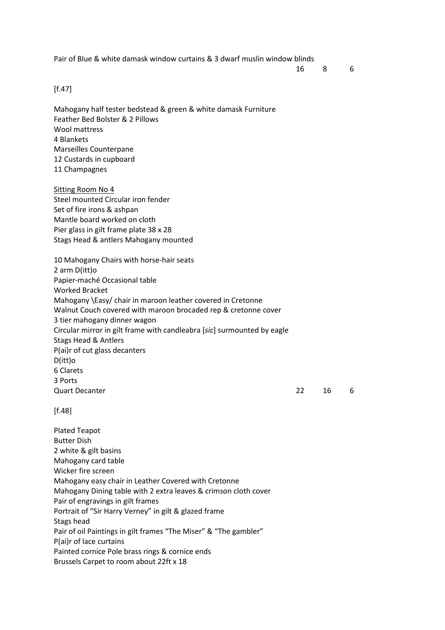Pair of Blue & white damask window curtains & 3 dwarf muslin window blinds

16 8 6

### [f.47]

Mahogany half tester bedstead & green & white damask Furniture Feather Bed Bolster & 2 Pillows Wool mattress 4 Blankets Marseilles Counterpane 12 Custards in cupboard 11 Champagnes

Sitting Room No 4 Steel mounted Circular iron fender Set of fire irons & ashpan Mantle board worked on cloth Pier glass in gilt frame plate 38 x 28 Stags Head & antlers Mahogany mounted

10 Mahogany Chairs with horse-hair seats 2 arm D(itt)o Papier-maché Occasional table Worked Bracket Mahogany \Easy/ chair in maroon leather covered in Cretonne Walnut Couch covered with maroon brocaded rep & cretonne cover 3 tier mahogany dinner wagon Circular mirror in gilt frame with candleabra [*sic*] surmounted by eagle Stags Head & Antlers P(ai)r of cut glass decanters D(itt)o 6 Clarets 3 Ports Quart Decanter 22 16 6

[f.48]

Plated Teapot Butter Dish 2 white & gilt basins Mahogany card table Wicker fire screen Mahogany easy chair in Leather Covered with Cretonne Mahogany Dining table with 2 extra leaves & crimson cloth cover Pair of engravings in gilt frames Portrait of "Sir Harry Verney" in gilt & glazed frame Stags head Pair of oil Paintings in gilt frames "The Miser" & "The gambler" P(ai)r of lace curtains Painted cornice Pole brass rings & cornice ends Brussels Carpet to room about 22ft x 18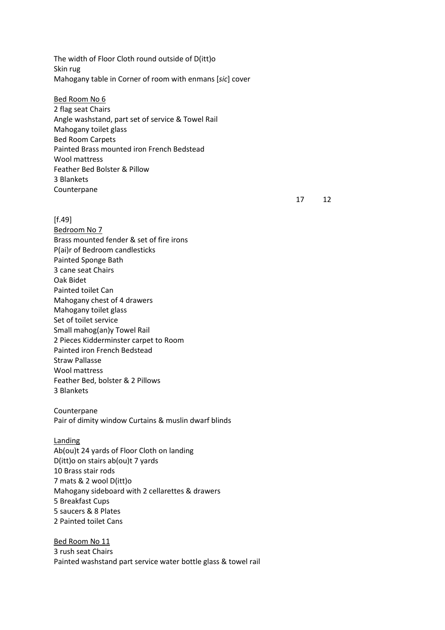The width of Floor Cloth round outside of D(itt)o Skin rug Mahogany table in Corner of room with enmans [*sic*] cover

Bed Room No 6 2 flag seat Chairs Angle washstand, part set of service & Towel Rail Mahogany toilet glass Bed Room Carpets Painted Brass mounted iron French Bedstead Wool mattress Feather Bed Bolster & Pillow 3 Blankets Counterpane

17 12

- $[f.49]$ Bedroom No 7 Brass mounted fender & set of fire irons P(ai)r of Bedroom candlesticks Painted Sponge Bath 3 cane seat Chairs Oak Bidet Painted toilet Can Mahogany chest of 4 drawers Mahogany toilet glass Set of toilet service Small mahog(an)y Towel Rail 2 Pieces Kidderminster carpet to Room Painted iron French Bedstead Straw Pallasse Wool mattress Feather Bed, bolster & 2 Pillows 3 Blankets
- Counterpane Pair of dimity window Curtains & muslin dwarf blinds

Landing

Ab(ou)t 24 yards of Floor Cloth on landing D(itt)o on stairs ab(ou)t 7 yards 10 Brass stair rods 7 mats & 2 wool D(itt)o Mahogany sideboard with 2 cellarettes & drawers 5 Breakfast Cups 5 saucers & 8 Plates 2 Painted toilet Cans

Bed Room No 11 3 rush seat Chairs Painted washstand part service water bottle glass & towel rail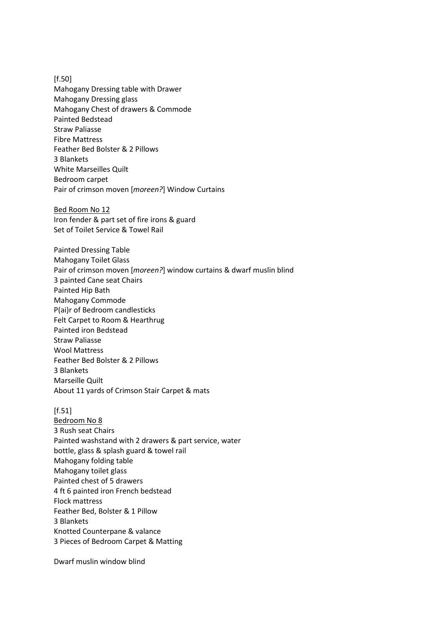[f.50] Mahogany Dressing table with Drawer Mahogany Dressing glass Mahogany Chest of drawers & Commode Painted Bedstead Straw Paliasse Fibre Mattress Feather Bed Bolster & 2 Pillows 3 Blankets White Marseilles Quilt Bedroom carpet Pair of crimson moven [*moreen?*] Window Curtains

Bed Room No 12 Iron fender & part set of fire irons & guard Set of Toilet Service & Towel Rail

Painted Dressing Table Mahogany Toilet Glass Pair of crimson moven [*moreen?*] window curtains & dwarf muslin blind 3 painted Cane seat Chairs Painted Hip Bath Mahogany Commode P(ai)r of Bedroom candlesticks Felt Carpet to Room & Hearthrug Painted iron Bedstead Straw Paliasse Wool Mattress Feather Bed Bolster & 2 Pillows 3 Blankets Marseille Quilt About 11 yards of Crimson Stair Carpet & mats

[f.51]

Bedroom No 8 3 Rush seat Chairs Painted washstand with 2 drawers & part service, water bottle, glass & splash guard & towel rail Mahogany folding table Mahogany toilet glass Painted chest of 5 drawers 4 ft 6 painted iron French bedstead Flock mattress Feather Bed, Bolster & 1 Pillow 3 Blankets Knotted Counterpane & valance 3 Pieces of Bedroom Carpet & Matting

Dwarf muslin window blind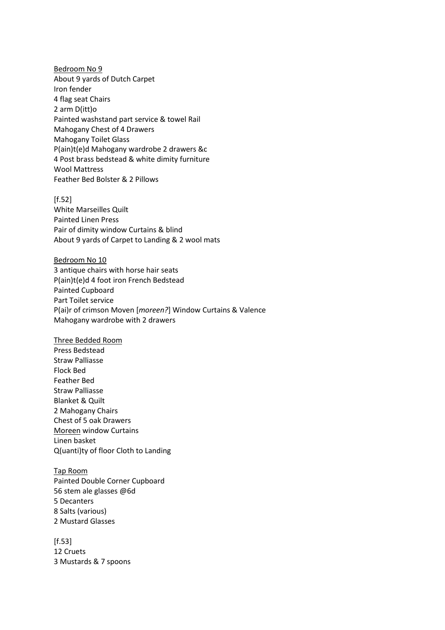Bedroom No 9 About 9 yards of Dutch Carpet Iron fender 4 flag seat Chairs 2 arm D(itt)o Painted washstand part service & towel Rail Mahogany Chest of 4 Drawers Mahogany Toilet Glass P(ain)t(e)d Mahogany wardrobe 2 drawers &c 4 Post brass bedstead & white dimity furniture Wool Mattress Feather Bed Bolster & 2 Pillows

 $[f.52]$ White Marseilles Quilt Painted Linen Press Pair of dimity window Curtains & blind About 9 yards of Carpet to Landing & 2 wool mats

Bedroom No 10 3 antique chairs with horse hair seats P(ain)t(e)d 4 foot iron French Bedstead Painted Cupboard Part Toilet service P(ai)r of crimson Moven [*moreen?*] Window Curtains & Valence Mahogany wardrobe with 2 drawers

Three Bedded Room Press Bedstead Straw Palliasse Flock Bed Feather Bed Straw Palliasse Blanket & Quilt 2 Mahogany Chairs Chest of 5 oak Drawers Moreen window Curtains Linen basket Q(uanti)ty of floor Cloth to Landing

Tap Room Painted Double Corner Cupboard 56 stem ale glasses @6d 5 Decanters 8 Salts (various) 2 Mustard Glasses

 $[f.53]$ 12 Cruets 3 Mustards & 7 spoons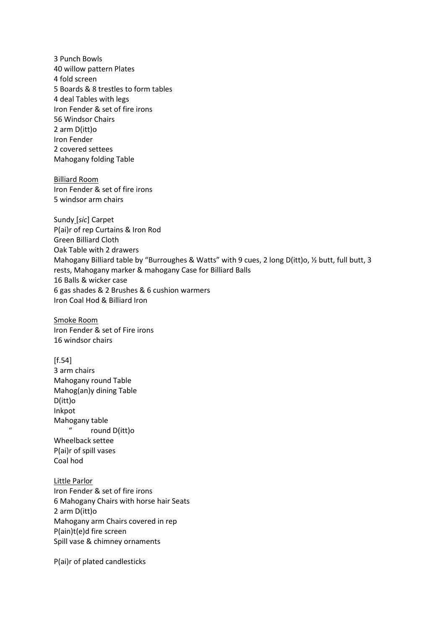3 Punch Bowls 40 willow pattern Plates 4 fold screen 5 Boards & 8 trestles to form tables 4 deal Tables with legs Iron Fender & set of fire irons 56 Windsor Chairs 2 arm D(itt)o Iron Fender 2 covered settees Mahogany folding Table

Billiard Room Iron Fender & set of fire irons 5 windsor arm chairs

Sundy [*sic*] Carpet P(ai)r of rep Curtains & Iron Rod Green Billiard Cloth Oak Table with 2 drawers Mahogany Billiard table by "Burroughes & Watts" with 9 cues, 2 long D(itt)o, 1/2 butt, full butt, 3 rests, Mahogany marker & mahogany Case for Billiard Balls 16 Balls & wicker case 6 gas shades & 2 Brushes & 6 cushion warmers Iron Coal Hod & Billiard Iron

Smoke Room Iron Fender & set of Fire irons 16 windsor chairs

 $[f.54]$ 3 arm chairs Mahogany round Table Mahog(an)y dining Table D(itt)o Inkpot Mahogany table " round D(itt)o Wheelback settee P(ai)r of spill vases Coal hod

Little Parlor Iron Fender & set of fire irons 6 Mahogany Chairs with horse hair Seats 2 arm D(itt)o Mahogany arm Chairs covered in rep P(ain)t(e)d fire screen Spill vase & chimney ornaments

P(ai)r of plated candlesticks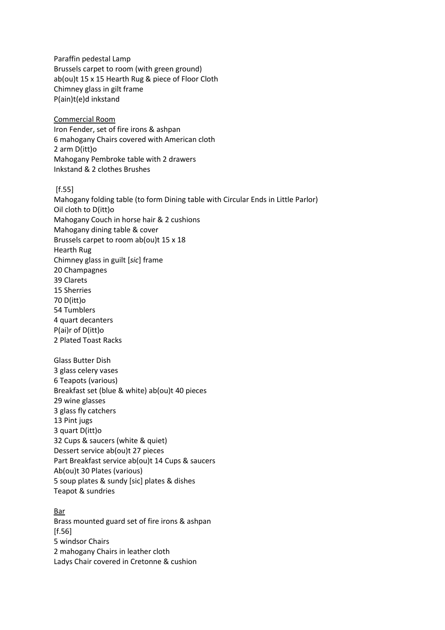Paraffin pedestal Lamp Brussels carpet to room (with green ground) ab(ou)t 15 x 15 Hearth Rug & piece of Floor Cloth Chimney glass in gilt frame P(ain)t(e)d inkstand Commercial Room Iron Fender, set of fire irons & ashpan 6 mahogany Chairs covered with American cloth 2 arm D(itt)o Mahogany Pembroke table with 2 drawers Inkstand & 2 clothes Brushes [f.55] Mahogany folding table (to form Dining table with Circular Ends in Little Parlor) Oil cloth to D(itt)o Mahogany Couch in horse hair & 2 cushions Mahogany dining table & cover Brussels carpet to room ab(ou)t 15 x 18 Hearth Rug Chimney glass in guilt [*sic*] frame 20 Champagnes 39 Clarets 15 Sherries 70 D(itt)o 54 Tumblers 4 quart decanters P(ai)r of D(itt)o 2 Plated Toast Racks Glass Butter Dish 3 glass celery vases 6 Teapots (various) Breakfast set (blue & white) ab(ou)t 40 pieces 29 wine glasses 3 glass fly catchers 13 Pint jugs 3 quart D(itt)o 32 Cups & saucers (white & quiet) Dessert service ab(ou)t 27 pieces Part Breakfast service ab(ou)t 14 Cups & saucers Ab(ou)t 30 Plates (various) 5 soup plates & sundy [sic] plates & dishes Teapot & sundries Bar Brass mounted guard set of fire irons & ashpan [f.56] 5 windsor Chairs 2 mahogany Chairs in leather cloth

Ladys Chair covered in Cretonne & cushion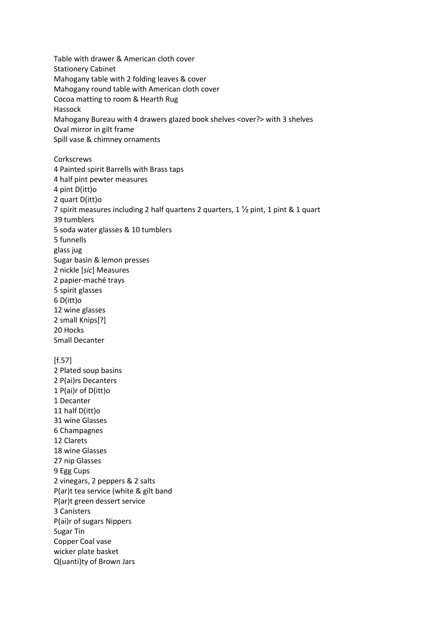Table with drawer & American cloth cover Stationery Cabinet Mahogany table with 2 folding leaves & cover Mahogany round table with American cloth cover Cocoa matting to room & Hearth Rug Hassock Mahogany Bureau with 4 drawers glazed book shelves <over?> with 3 shelves Oval mirror in gilt frame Spill vase & chimney ornaments **Corkscrews** 4 Painted spirit Barrells with Brass taps 4 half pint pewter measures 4 pint D(itt)o 2 quart D(itt)o 7 spirit measures including 2 half quartens 2 quarters, 1 ½ pint, 1 pint & 1 quart 39 tumblers 5 soda water glasses & 10 tumblers 5 funnells glass jug Sugar basin & lemon presses 2 nickle [*sic*] Measures 2 papier-maché trays 5 spirit glasses 6 D(itt)o 12 wine glasses 2 small Knips[?] 20 Hocks Small Decanter [f.57] 2 Plated soup basins 2 P(ai)rs Decanters 1 P(ai)r of D(itt)o 1 Decanter 11 half D(itt)o 31 wine Glasses 6 Champagnes 12 Clarets 18 wine Glasses 27 nip Glasses 9 Egg Cups 2 vinegars, 2 peppers & 2 salts P(ar)t tea service (white & gilt band P(ar)t green dessert service 3 Canisters P(ai)r of sugars Nippers Sugar Tin Copper Coal vase wicker plate basket Q(uanti)ty of Brown Jars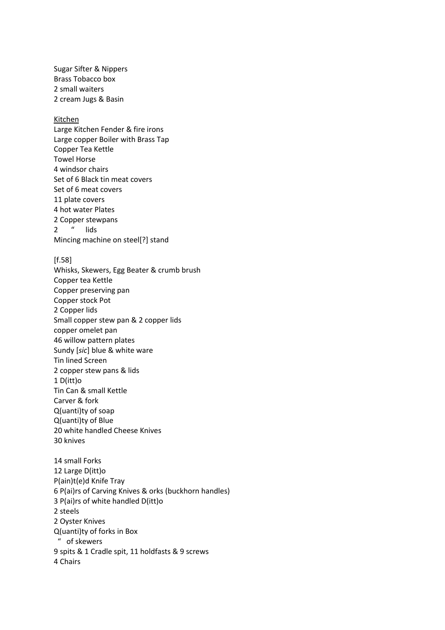Sugar Sifter & Nippers Brass Tobacco box 2 small waiters 2 cream Jugs & Basin

#### Kitchen

Large Kitchen Fender & fire irons Large copper Boiler with Brass Tap Copper Tea Kettle Towel Horse 4 windsor chairs Set of 6 Black tin meat covers Set of 6 meat covers 11 plate covers 4 hot water Plates 2 Copper stewpans 2 " lids Mincing machine on steel[?] stand

[f.58]

Whisks, Skewers, Egg Beater & crumb brush Copper tea Kettle Copper preserving pan Copper stock Pot 2 Copper lids Small copper stew pan & 2 copper lids copper omelet pan 46 willow pattern plates Sundy [*sic*] blue & white ware Tin lined Screen 2 copper stew pans & lids 1 D(itt)o Tin Can & small Kettle Carver & fork Q(uanti)ty of soap Q(uanti)ty of Blue 20 white handled Cheese Knives 30 knives 14 small Forks 12 Large D(itt)o

P(ain)t(e)d Knife Tray 6 P(ai)rs of Carving Knives & orks (buckhorn handles) 3 P(ai)rs of white handled D(itt)o 2 steels 2 Oyster Knives Q(uanti)ty of forks in Box " of skewers 9 spits & 1 Cradle spit, 11 holdfasts & 9 screws 4 Chairs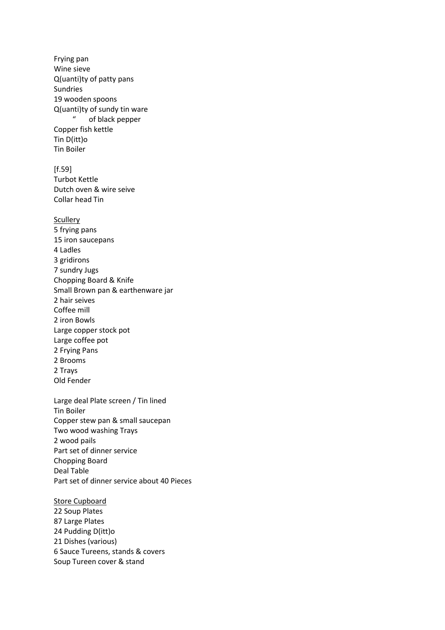Frying pan Wine sieve Q(uanti)ty of patty pans Sundries 19 wooden spoons Q(uanti)ty of sundy tin ware of black pepper Copper fish kettle Tin D(itt)o Tin Boiler  $[f.59]$ Turbot Kettle Dutch oven & wire seive Collar head Tin Scullery 5 frying pans 15 iron saucepans 4 Ladles 3 gridirons 7 sundry Jugs Chopping Board & Knife Small Brown pan & earthenware jar 2 hair seives Coffee mill 2 iron Bowls Large copper stock pot Large coffee pot 2 Frying Pans 2 Brooms 2 Trays Old Fender Large deal Plate screen / Tin lined Tin Boiler Copper stew pan & small saucepan Two wood washing Trays 2 wood pails Part set of dinner service Chopping Board Deal Table Part set of dinner service about 40 Pieces Store Cupboard

22 Soup Plates 87 Large Plates 24 Pudding D(itt)o 21 Dishes (various) 6 Sauce Tureens, stands & covers Soup Tureen cover & stand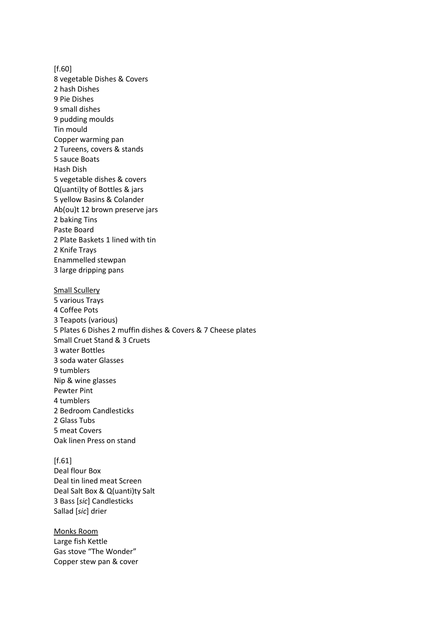[f.60] 8 vegetable Dishes & Covers 2 hash Dishes 9 Pie Dishes 9 small dishes 9 pudding moulds Tin mould Copper warming pan 2 Tureens, covers & stands 5 sauce Boats Hash Dish 5 vegetable dishes & covers Q(uanti)ty of Bottles & jars 5 yellow Basins & Colander Ab(ou)t 12 brown preserve jars 2 baking Tins Paste Board 2 Plate Baskets 1 lined with tin 2 Knife Trays Enammelled stewpan 3 large dripping pans **Small Scullery** 5 various Trays 4 Coffee Pots 3 Teapots (various)

5 Plates 6 Dishes 2 muffin dishes & Covers & 7 Cheese plates Small Cruet Stand & 3 Cruets 3 water Bottles 3 soda water Glasses 9 tumblers Nip & wine glasses Pewter Pint 4 tumblers 2 Bedroom Candlesticks 2 Glass Tubs 5 meat Covers Oak linen Press on stand

 $[f.61]$ Deal flour Box Deal tin lined meat Screen Deal Salt Box & Q(uanti)ty Salt 3 Bass [*sic*] Candlesticks Sallad [*sic*] drier

Monks Room Large fish Kettle Gas stove "The Wonder" Copper stew pan & cover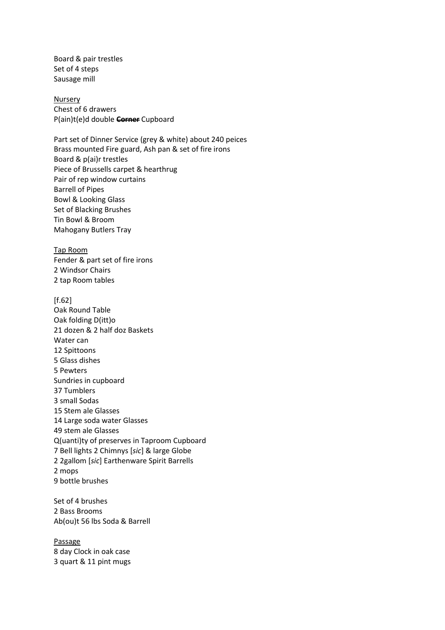Board & pair trestles Set of 4 steps Sausage mill

**Nursery** Chest of 6 drawers P(ain)t(e)d double **Corner** Cupboard

Part set of Dinner Service (grey & white) about 240 peices Brass mounted Fire guard, Ash pan & set of fire irons Board & p(ai)r trestles Piece of Brussells carpet & hearthrug Pair of rep window curtains Barrell of Pipes Bowl & Looking Glass Set of Blacking Brushes Tin Bowl & Broom Mahogany Butlers Tray

Tap Room Fender & part set of fire irons 2 Windsor Chairs 2 tap Room tables

# $[f.62]$ Oak Round Table Oak folding D(itt)o 21 dozen & 2 half doz Baskets Water can 12 Spittoons 5 Glass dishes 5 Pewters Sundries in cupboard 37 Tumblers 3 small Sodas 15 Stem ale Glasses 14 Large soda water Glasses 49 stem ale Glasses Q(uanti)ty of preserves in Taproom Cupboard 7 Bell lights 2 Chimnys [*sic*] & large Globe 2 2gallom [*sic*] Earthenware Spirit Barrells 2 mops 9 bottle brushes

Set of 4 brushes 2 Bass Brooms Ab(ou)t 56 lbs Soda & Barrell

Passage 8 day Clock in oak case 3 quart & 11 pint mugs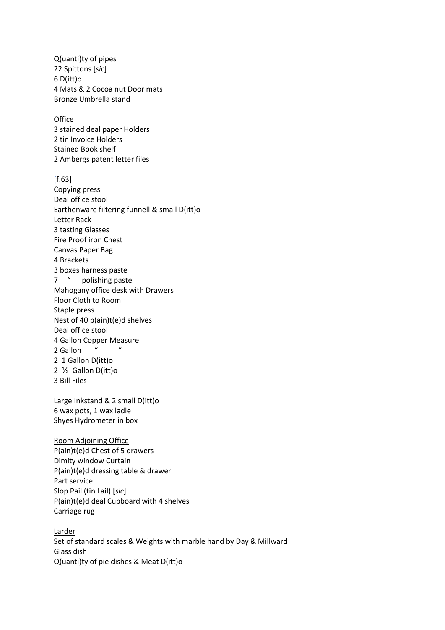Q(uanti)ty of pipes 22 Spittons [*sic*] 6 D(itt)o 4 Mats & 2 Cocoa nut Door mats Bronze Umbrella stand

**Office** 

3 stained deal paper Holders 2 tin Invoice Holders Stained Book shelf 2 Ambergs patent letter files

[f.63]

Copying press Deal office stool Earthenware filtering funnell & small D(itt)o Letter Rack 3 tasting Glasses Fire Proof iron Chest Canvas Paper Bag 4 Brackets 3 boxes harness paste 7 " polishing paste Mahogany office desk with Drawers Floor Cloth to Room Staple press Nest of 40 p(ain)t(e)d shelves Deal office stool 4 Gallon Copper Measure 2 Gallon 2 1 Gallon D(itt)o 2 ½ Gallon D(itt)o 3 Bill Files

Large Inkstand & 2 small D(itt)o 6 wax pots, 1 wax ladle Shyes Hydrometer in box

Room Adjoining Office P(ain)t(e)d Chest of 5 drawers Dimity window Curtain P(ain)t(e)d dressing table & drawer Part service Slop Pail (tin Lail) [*sic*] P(ain)t(e)d deal Cupboard with 4 shelves Carriage rug

Larder Set of standard scales & Weights with marble hand by Day & Millward Glass dish Q(uanti)ty of pie dishes & Meat D(itt)o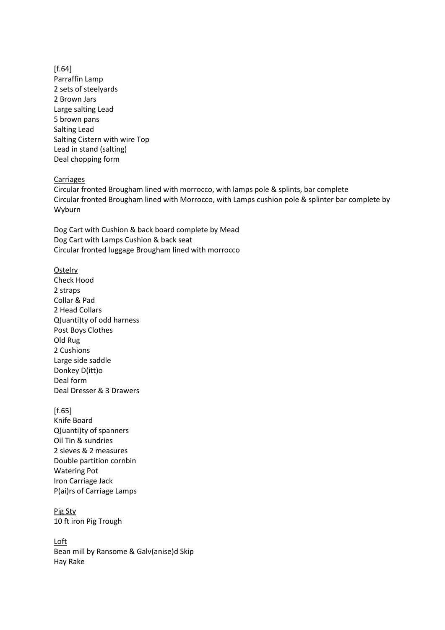[f.64] Parraffin Lamp 2 sets of steelyards 2 Brown Jars Large salting Lead 5 brown pans Salting Lead Salting Cistern with wire Top Lead in stand (salting) Deal chopping form

#### Carriages

Circular fronted Brougham lined with morrocco, with lamps pole & splints, bar complete Circular fronted Brougham lined with Morrocco, with Lamps cushion pole & splinter bar complete by Wyburn

Dog Cart with Cushion & back board complete by Mead Dog Cart with Lamps Cushion & back seat Circular fronted luggage Brougham lined with morrocco

**Ostelry** Check Hood 2 straps Collar & Pad 2 Head Collars Q(uanti)ty of odd harness Post Boys Clothes Old Rug 2 Cushions Large side saddle Donkey D(itt)o Deal form Deal Dresser & 3 Drawers

[f.65] Knife Board Q(uanti)ty of spanners Oil Tin & sundries 2 sieves & 2 measures Double partition cornbin Watering Pot Iron Carriage Jack P(ai)rs of Carriage Lamps

Pig Sty 10 ft iron Pig Trough

Loft Bean mill by Ransome & Galv(anise)d Skip Hay Rake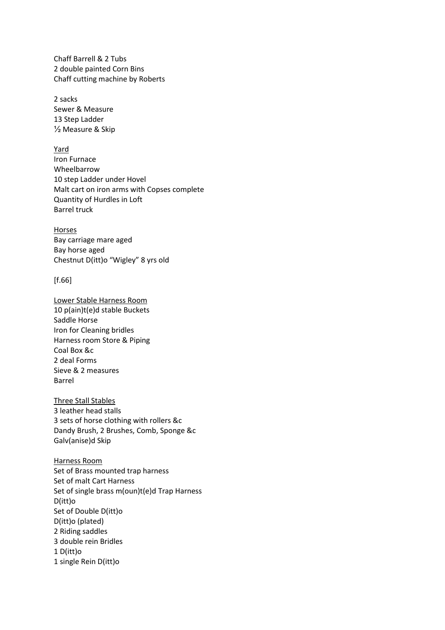Chaff Barrell & 2 Tubs 2 double painted Corn Bins Chaff cutting machine by Roberts

2 sacks Sewer & Measure 13 Step Ladder ½ Measure & Skip

Yard Iron Furnace Wheelbarrow 10 step Ladder under Hovel Malt cart on iron arms with Copses complete Quantity of Hurdles in Loft Barrel truck

Horses Bay carriage mare aged Bay horse aged Chestnut D(itt)o "Wigley" 8 yrs old

### [f.66]

Lower Stable Harness Room 10 p(ain)t(e)d stable Buckets Saddle Horse Iron for Cleaning bridles Harness room Store & Piping Coal Box &c 2 deal Forms Sieve & 2 measures Barrel

Three Stall Stables 3 leather head stalls 3 sets of horse clothing with rollers &c Dandy Brush, 2 Brushes, Comb, Sponge &c Galv(anise)d Skip

Harness Room Set of Brass mounted trap harness Set of malt Cart Harness Set of single brass m(oun)t(e)d Trap Harness D(itt)o Set of Double D(itt)o D(itt)o (plated) 2 Riding saddles 3 double rein Bridles 1 D(itt)o 1 single Rein D(itt)o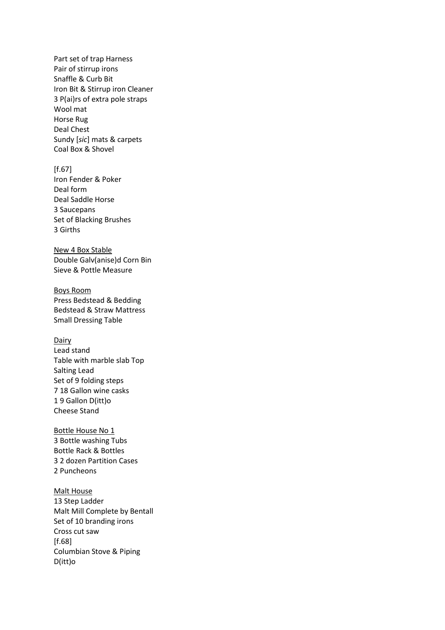Part set of trap Harness Pair of stirrup irons Snaffle & Curb Bit Iron Bit & Stirrup iron Cleaner 3 P(ai)rs of extra pole straps Wool mat Horse Rug Deal Chest Sundy [*sic*] mats & carpets Coal Box & Shovel

 $[f.67]$ Iron Fender & Poker Deal form Deal Saddle Horse 3 Saucepans Set of Blacking Brushes 3 Girths

New 4 Box Stable Double Galv(anise)d Corn Bin Sieve & Pottle Measure

Boys Room Press Bedstead & Bedding Bedstead & Straw Mattress Small Dressing Table

### Dairy

Lead stand Table with marble slab Top Salting Lead Set of 9 folding steps 7 18 Gallon wine casks 1 9 Gallon D(itt)o Cheese Stand

Bottle House No 1 3 Bottle washing Tubs Bottle Rack & Bottles 3 2 dozen Partition Cases 2 Puncheons

#### Malt House

13 Step Ladder Malt Mill Complete by Bentall Set of 10 branding irons Cross cut saw [f.68] Columbian Stove & Piping D(itt)o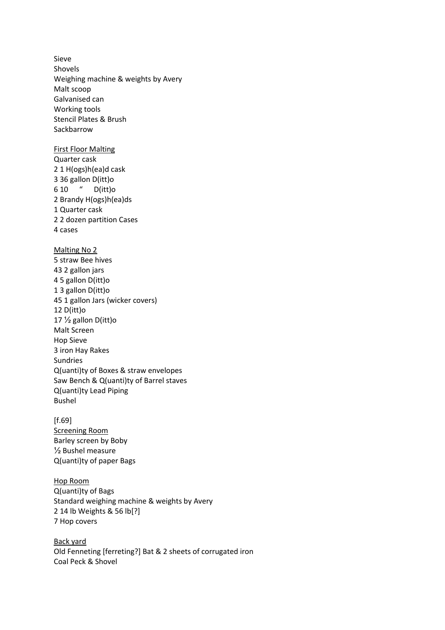Sieve Shovels Weighing machine & weights by Avery Malt scoop Galvanised can Working tools Stencil Plates & Brush Sackbarrow First Floor Malting Quarter cask 2 1 H(ogs)h(ea)d cask 3 36 gallon D(itt)o 6 10 " D(itt)o 2 Brandy H(ogs)h(ea)ds 1 Quarter cask 2 2 dozen partition Cases 4 cases Malting No 2 5 straw Bee hives 43 2 gallon jars 4 5 gallon D(itt)o 1 3 gallon D(itt)o 45 1 gallon Jars (wicker covers) 12 D(itt)o 17 ½ gallon D(itt)o Malt Screen Hop Sieve 3 iron Hay Rakes Sundries Q(uanti)ty of Boxes & straw envelopes Saw Bench & Q(uanti)ty of Barrel staves Q(uanti)ty Lead Piping Bushel

[f.69] Screening Room Barley screen by Boby ½ Bushel measure Q(uanti)ty of paper Bags

Hop Room Q(uanti)ty of Bags Standard weighing machine & weights by Avery 2 14 lb Weights & 56 lb[?] 7 Hop covers

Back yard Old Fenneting [ferreting?] Bat & 2 sheets of corrugated iron Coal Peck & Shovel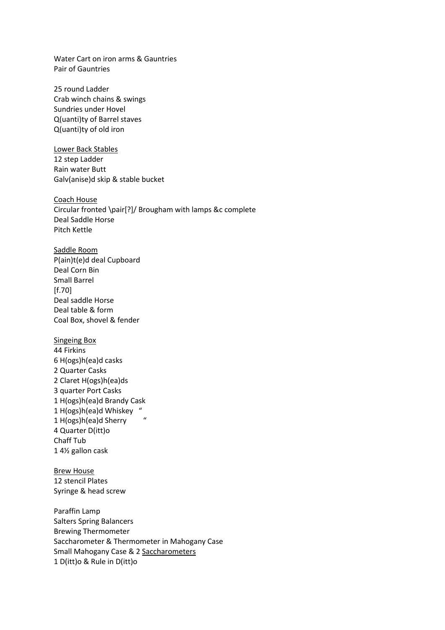Water Cart on iron arms & Gauntries Pair of Gauntries

25 round Ladder Crab winch chains & swings Sundries under Hovel Q(uanti)ty of Barrel staves Q(uanti)ty of old iron

Lower Back Stables 12 step Ladder Rain water Butt Galv(anise)d skip & stable bucket

Coach House Circular fronted \pair[?]/ Brougham with lamps &c complete Deal Saddle Horse Pitch Kettle

Saddle Room P(ain)t(e)d deal Cupboard Deal Corn Bin Small Barrel [f.70] Deal saddle Horse Deal table & form Coal Box, shovel & fender

Singeing Box 44 Firkins 6 H(ogs)h(ea)d casks 2 Quarter Casks 2 Claret H(ogs)h(ea)ds 3 quarter Port Casks 1 H(ogs)h(ea)d Brandy Cask 1 H(ogs)h(ea)d Whiskey " 1 H(ogs)h(ea)d Sherry " 4 Quarter D(itt)o Chaff Tub 1 4½ gallon cask

Brew House 12 stencil Plates Syringe & head screw

Paraffin Lamp Salters Spring Balancers Brewing Thermometer Saccharometer & Thermometer in Mahogany Case Small Mahogany Case & 2 Saccharometers 1 D(itt)o & Rule in D(itt)o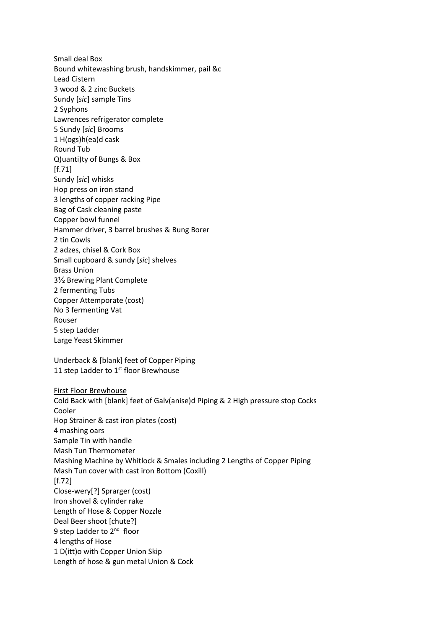Small deal Box Bound whitewashing brush, handskimmer, pail &c Lead Cistern 3 wood & 2 zinc Buckets Sundy [*sic*] sample Tins 2 Syphons Lawrences refrigerator complete 5 Sundy [*sic*] Brooms 1 H(ogs)h(ea)d cask Round Tub Q(uanti)ty of Bungs & Box  $[f.71]$ Sundy [*sic*] whisks Hop press on iron stand 3 lengths of copper racking Pipe Bag of Cask cleaning paste Copper bowl funnel Hammer driver, 3 barrel brushes & Bung Borer 2 tin Cowls 2 adzes, chisel & Cork Box Small cupboard & sundy [*sic*] shelves Brass Union 3½ Brewing Plant Complete 2 fermenting Tubs Copper Attemporate (cost) No 3 fermenting Vat Rouser 5 step Ladder Large Yeast Skimmer Underback & [blank] feet of Copper Piping 11 step Ladder to 1<sup>st</sup> floor Brewhouse

First Floor Brewhouse Cold Back with [blank] feet of Galv(anise)d Piping & 2 High pressure stop Cocks Cooler Hop Strainer & cast iron plates (cost) 4 mashing oars Sample Tin with handle Mash Tun Thermometer Mashing Machine by Whitlock & Smales including 2 Lengths of Copper Piping Mash Tun cover with cast iron Bottom (Coxill) [f.72] Close-wery[?] Sprarger (cost) Iron shovel & cylinder rake Length of Hose & Copper Nozzle Deal Beer shoot [chute?] 9 step Ladder to 2<sup>nd</sup> floor 4 lengths of Hose 1 D(itt)o with Copper Union Skip Length of hose & gun metal Union & Cock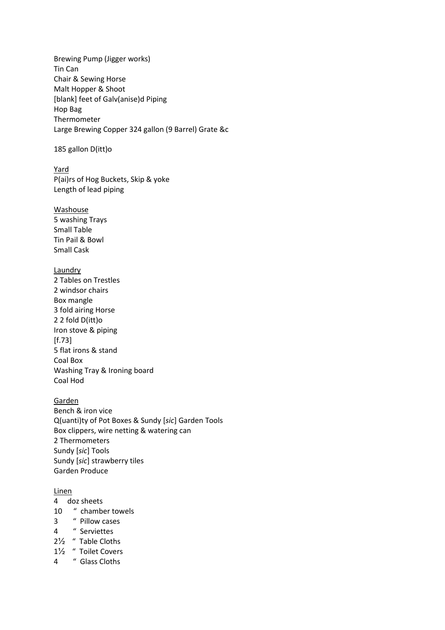Brewing Pump (Jigger works) Tin Can Chair & Sewing Horse Malt Hopper & Shoot [blank] feet of Galv(anise)d Piping Hop Bag Thermometer Large Brewing Copper 324 gallon (9 Barrel) Grate &c

### 185 gallon D(itt)o

Yard P(ai)rs of Hog Buckets, Skip & yoke Length of lead piping

#### Washouse

5 washing Trays Small Table Tin Pail & Bowl Small Cask

### **Laundry**

2 Tables on Trestles 2 windsor chairs Box mangle 3 fold airing Horse 2 2 fold D(itt)o Iron stove & piping [f.73] 5 flat irons & stand Coal Box Washing Tray & Ironing board Coal Hod

## Garden

Bench & iron vice Q(uanti)ty of Pot Boxes & Sundy [*sic*] Garden Tools Box clippers, wire netting & watering can 2 Thermometers Sundy [*sic*] Tools Sundy [*sic*] strawberry tiles Garden Produce

#### Linen

- 4 doz sheets
- 10 " chamber towels
- 3 " Pillow cases
- 4 " Serviettes
- 2½ " Table Cloths
- 1½ " Toilet Covers
- 4 " Glass Cloths